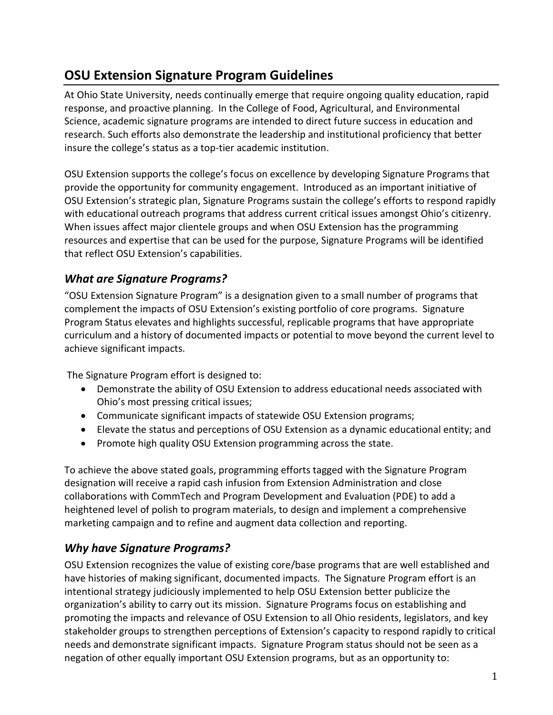## **OSU Extension Signature Program Guidelines**

At Ohio State University, needs continually emerge that require ongoing quality education, rapid response, and proactive planning. In the College of Food, Agricultural, and Environmental Science, academic signature programs are intended to direct future success in education and research. Such efforts also demonstrate the leadership and institutional proficiency that better insure the college's status as a top-tier academic institution.

OSU Extension supports the college's focus on excellence by developing Signature Programs that provide the opportunity for community engagement. Introduced as an important initiative of OSU Extension's strategic plan, Signature Programs sustain the college's efforts to respond rapidly with educational outreach programs that address current critical issues amongst Ohio's citizenry. When issues affect major clientele groups and when OSU Extension has the programming resources and expertise that can be used for the purpose, Signature Programs will be identified that reflect OSU Extension's capabilities.

## *What are Signature Programs?*

"OSU Extension Signature Program" is a designation given to a small number of programs that complement the impacts of OSU Extension's existing portfolio of core programs. Signature Program Status elevates and highlights successful, replicable programs that have appropriate curriculum and a history of documented impacts or potential to move beyond the current level to achieve significant impacts.

The Signature Program effort is designed to:

- Demonstrate the ability of OSU Extension to address educational needs associated with Ohio's most pressing critical issues;
- Communicate significant impacts of statewide OSU Extension programs;
- Elevate the status and perceptions of OSU Extension as a dynamic educational entity; and
- Promote high quality OSU Extension programming across the state.

To achieve the above stated goals, programming efforts tagged with the Signature Program designation will receive a rapid cash infusion from Extension Administration and close collaborations with CommTech and Program Development and Evaluation (PDE) to add a heightened level of polish to program materials, to design and implement a comprehensive marketing campaign and to refine and augment data collection and reporting.

#### *Why have Signature Programs?*

OSU Extension recognizes the value of existing core/base programs that are well established and have histories of making significant, documented impacts. The Signature Program effort is an intentional strategy judiciously implemented to help OSU Extension better publicize the organization's ability to carry out its mission. Signature Programs focus on establishing and promoting the impacts and relevance of OSU Extension to all Ohio residents, legislators, and key stakeholder groups to strengthen perceptions of Extension's capacity to respond rapidly to critical needs and demonstrate significant impacts. Signature Program status should not be seen as a negation of other equally important OSU Extension programs, but as an opportunity to: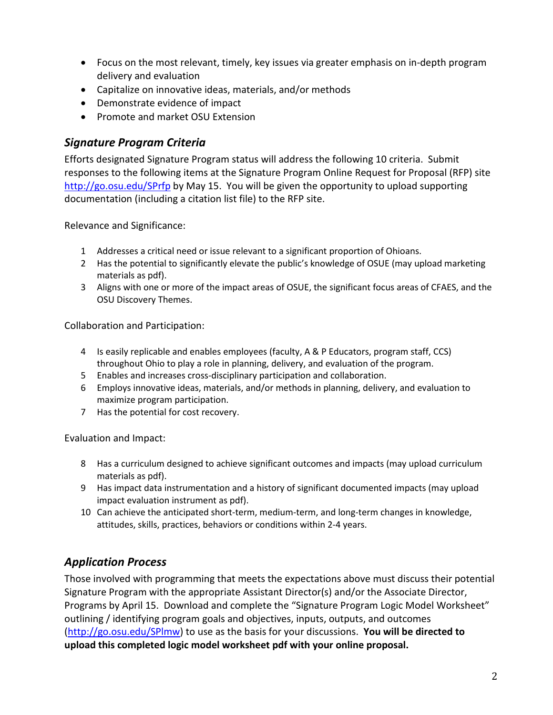- Focus on the most relevant, timely, key issues via greater emphasis on in-depth program delivery and evaluation
- Capitalize on innovative ideas, materials, and/or methods
- Demonstrate evidence of impact
- Promote and market OSU Extension

#### *Signature Program Criteria*

Efforts designated Signature Program status will address the following 10 criteria. Submit responses to the following items at the Signature Program Online Request for Proposal (RFP) site <http://go.osu.edu/SPrfp> by May 15. You will be given the opportunity to upload supporting documentation (including a citation list file) to the RFP site.

Relevance and Significance:

- 1 Addresses a critical need or issue relevant to a significant proportion of Ohioans.
- 2 Has the potential to significantly elevate the public's knowledge of OSUE (may upload marketing materials as pdf).
- 3 Aligns with one or more of the impact areas of OSUE, the significant focus areas of CFAES, and the OSU Discovery Themes.

Collaboration and Participation:

- 4 Is easily replicable and enables employees (faculty, A & P Educators, program staff, CCS) throughout Ohio to play a role in planning, delivery, and evaluation of the program.
- 5 Enables and increases cross-disciplinary participation and collaboration.
- 6 Employs innovative ideas, materials, and/or methods in planning, delivery, and evaluation to maximize program participation.
- 7 Has the potential for cost recovery.

Evaluation and Impact:

- 8 Has a curriculum designed to achieve significant outcomes and impacts (may upload curriculum materials as pdf).
- 9 Has impact data instrumentation and a history of significant documented impacts (may upload impact evaluation instrument as pdf).
- 10 Can achieve the anticipated short-term, medium-term, and long-term changes in knowledge, attitudes, skills, practices, behaviors or conditions within 2-4 years.

## *Application Process*

Those involved with programming that meets the expectations above must discuss their potential Signature Program with the appropriate Assistant Director(s) and/or the Associate Director, Programs by April 15. Download and complete the "Signature Program Logic Model Worksheet" outlining / identifying program goals and objectives, inputs, outputs, and outcomes [\(http://go.osu.edu/SPlmw\)](http://go.osu.edu/SPlmw) to use as the basis for your discussions. **You will be directed to upload this completed logic model worksheet pdf with your online proposal.**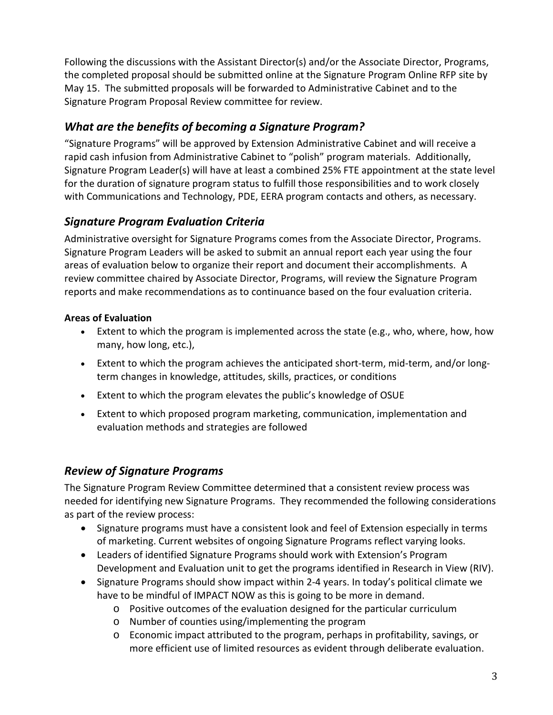Following the discussions with the Assistant Director(s) and/or the Associate Director, Programs, the completed proposal should be submitted online at the Signature Program Online RFP site by May 15. The submitted proposals will be forwarded to Administrative Cabinet and to the Signature Program Proposal Review committee for review.

## *What are the benefits of becoming a Signature Program?*

"Signature Programs" will be approved by Extension Administrative Cabinet and will receive a rapid cash infusion from Administrative Cabinet to "polish" program materials. Additionally, Signature Program Leader(s) will have at least a combined 25% FTE appointment at the state level for the duration of signature program status to fulfill those responsibilities and to work closely with Communications and Technology, PDE, EERA program contacts and others, as necessary.

## *Signature Program Evaluation Criteria*

Administrative oversight for Signature Programs comes from the Associate Director, Programs. Signature Program Leaders will be asked to submit an annual report each year using the four areas of evaluation below to organize their report and document their accomplishments. A review committee chaired by Associate Director, Programs, will review the Signature Program reports and make recommendations as to continuance based on the four evaluation criteria.

#### **Areas of Evaluation**

- Extent to which the program is implemented across the state (e.g., who, where, how, how many, how long, etc.),
- Extent to which the program achieves the anticipated short-term, mid-term, and/or longterm changes in knowledge, attitudes, skills, practices, or conditions
- Extent to which the program elevates the public's knowledge of OSUE
- Extent to which proposed program marketing, communication, implementation and evaluation methods and strategies are followed

#### *Review of Signature Programs*

The Signature Program Review Committee determined that a consistent review process was needed for identifying new Signature Programs. They recommended the following considerations as part of the review process:

- Signature programs must have a consistent look and feel of Extension especially in terms of marketing. Current websites of ongoing Signature Programs reflect varying looks.
- Leaders of identified Signature Programs should work with Extension's Program Development and Evaluation unit to get the programs identified in Research in View (RIV).
- Signature Programs should show impact within 2-4 years. In today's political climate we have to be mindful of IMPACT NOW as this is going to be more in demand.
	- o Positive outcomes of the evaluation designed for the particular curriculum
	- o Number of counties using/implementing the program
	- o Economic impact attributed to the program, perhaps in profitability, savings, or more efficient use of limited resources as evident through deliberate evaluation.